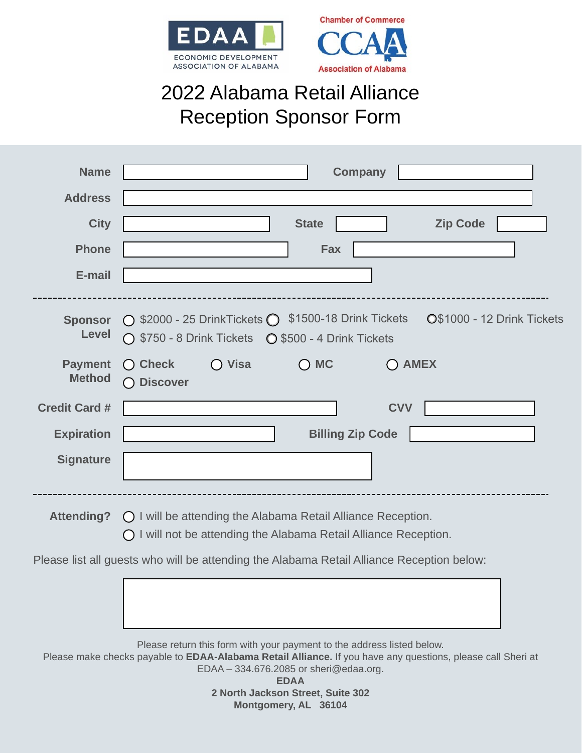



## 2022 Alabama Retail Alliance Reception Sponsor Form

| <b>Name</b>                                                                               | <b>Company</b>                                                                                                                                               |
|-------------------------------------------------------------------------------------------|--------------------------------------------------------------------------------------------------------------------------------------------------------------|
| <b>Address</b>                                                                            |                                                                                                                                                              |
| <b>City</b>                                                                               | <b>Zip Code</b><br><b>State</b>                                                                                                                              |
| <b>Phone</b>                                                                              | <b>Fax</b>                                                                                                                                                   |
| E-mail                                                                                    |                                                                                                                                                              |
| <b>Sponsor</b><br>Level                                                                   | $\bigcirc$ \$2000 - 25 DrinkTickets $\bigcirc$ \$1500-18 Drink Tickets<br>O\$1000 - 12 Drink Tickets<br>◯ \$750 - 8 Drink Tickets  Q \$500 - 4 Drink Tickets |
| <b>Payment</b><br><b>Method</b>                                                           | $\bigcirc$ Visa<br>$\bigcirc$ MC<br>$\bigcap$ Check<br><b>AMEX</b><br><b>Discover</b><br>$\left(\begin{array}{c} \end{array}\right)$                         |
| <b>Credit Card #</b>                                                                      | <b>CVV</b>                                                                                                                                                   |
| <b>Expiration</b>                                                                         | <b>Billing Zip Code</b>                                                                                                                                      |
| <b>Signature</b>                                                                          |                                                                                                                                                              |
| <b>Attending?</b>                                                                         | O I will be attending the Alabama Retail Alliance Reception.<br>O I will not be attending the Alabama Retail Alliance Reception.                             |
| Please list all guests who will be attending the Alabama Retail Alliance Reception below: |                                                                                                                                                              |

Please return this form with your payment to the address listed below. Please make checks payable to **EDAA-Alabama Retail Alliance.** If you have any questions, please call Sheri at EDAA – 334.676.2085 or sheri@edaa.org. **EDAA** 

**2 North Jackson Street, Suite 302 Montgomery, AL 36104**